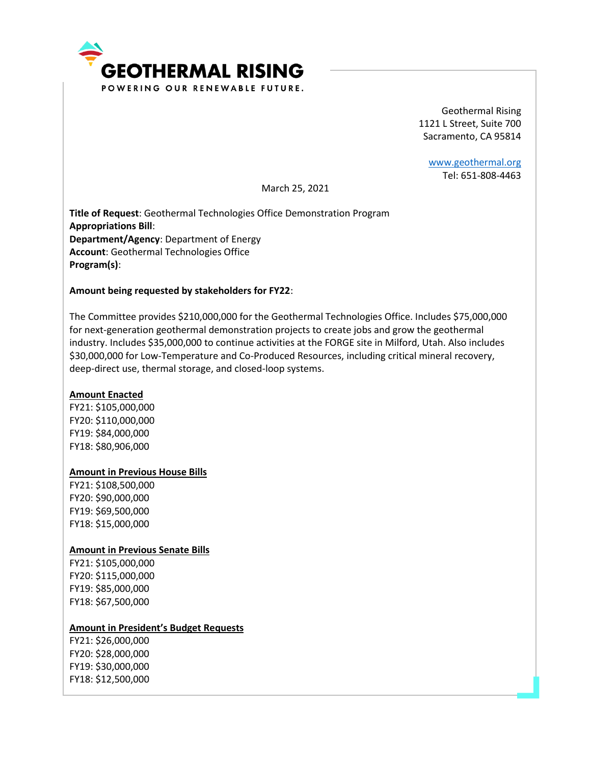

Geothermal Rising 1121 L Street, Suite 700 Sacramento, CA 95814

[www.geothermal.org](http://www.geothermal.org/) Tel: 651-808-4463

March 25, 2021

**Title of Request**: Geothermal Technologies Office Demonstration Program **Appropriations Bill**: **Department/Agency**: Department of Energy **Account**: Geothermal Technologies Office **Program(s)**:

## **Amount being requested by stakeholders for FY22**:

The Committee provides \$210,000,000 for the Geothermal Technologies Office. Includes \$75,000,000 for next-generation geothermal demonstration projects to create jobs and grow the geothermal industry. Includes \$35,000,000 to continue activities at the FORGE site in Milford, Utah. Also includes \$30,000,000 for Low-Temperature and Co-Produced Resources, including critical mineral recovery, deep-direct use, thermal storage, and closed-loop systems.

## **Amount Enacted**

FY21: \$105,000,000 FY20: \$110,000,000 FY19: \$84,000,000 FY18: \$80,906,000

### **Amount in Previous House Bills**

FY21: \$108,500,000 FY20: \$90,000,000 FY19: \$69,500,000 FY18: \$15,000,000

#### **Amount in Previous Senate Bills**

FY21: \$105,000,000 FY20: \$115,000,000 FY19: \$85,000,000 FY18: \$67,500,000

### **Amount in President's Budget Requests**

FY21: \$26,000,000 FY20: \$28,000,000 FY19: \$30,000,000 FY18: \$12,500,000